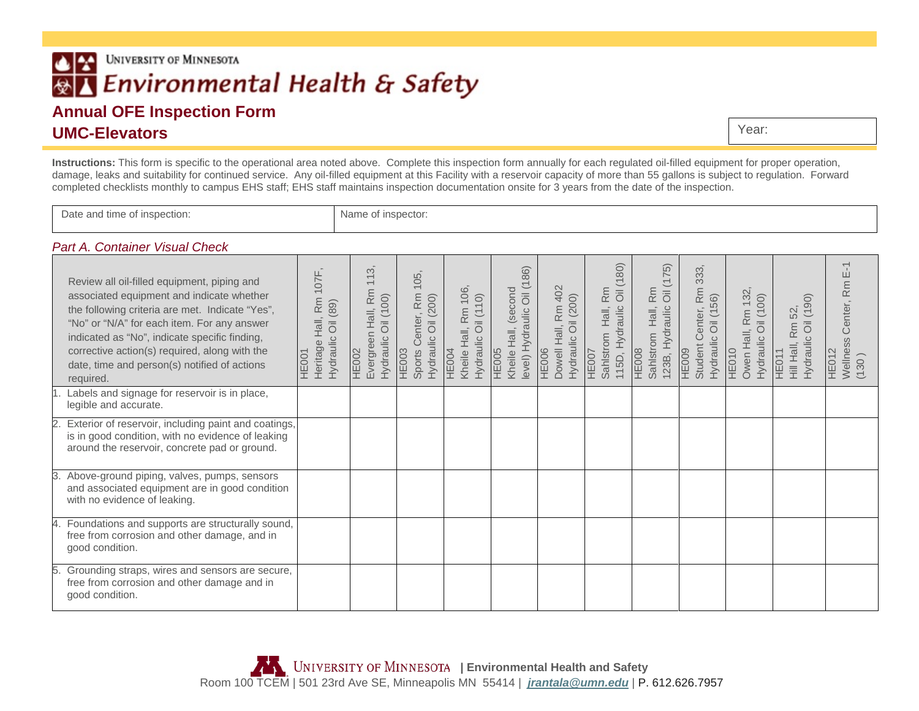# UNIVERSITY OF MINNESOTA  $| \cdot |$ **®∆** Environmental Health & Safety

# **Annual OFE Inspection Form UMC-Elevators**

Year:

**Instructions:** This form is specific to the operational area noted above. Complete this inspection form annually for each regulated oil-filled equipment for proper operation, damage, leaks and suitability for continued service. Any oil-filled equipment at this Facility with a reservoir capacity of more than 55 gallons is subject to regulation. Forward completed checklists monthly to campus EHS staff; EHS staff maintains inspection documentation onsite for 3 years from the date of the inspection.

Date and time of inspection: Name of inspector:

#### *Part A. Container Visual Check*

|    | Review all oil-filled equipment, piping and<br>associated equipment and indicate whether<br>the following criteria are met. Indicate "Yes",<br>"No" or "N/A" for each item. For any answer<br>indicated as "No", indicate specific finding,<br>corrective action(s) required, along with the<br>date, time and person(s) notified of actions<br>required. | 107F<br>R <sub>m</sub><br>Oil (89)<br>Hall,<br>Hydraulic<br>Heritage<br>HE001 | $\infty$<br>$\overline{\phantom{m}}$<br>$\overline{\phantom{0}}$<br>Evergreen Hall, Rm<br>Oil (100)<br>Hydraulic<br><b>HE002</b> | 105<br><b>Rm</b><br><b>Oil</b> (200)<br>Sports Center,<br>Hydraulic<br>HE003 | 106,<br>Hydraulic Oil (110)<br>Rm<br>Kheile Hall,<br><b>HE004</b> | level) Hydraulic Oil (186)<br>Kheile Hall, (second<br><b>HE005</b> | Dowell Hall, Rm 402<br>Hydraulic Oil (200)<br><b>HE006</b> | Oil (180)<br>Rm<br>115D, Hydraulic<br>Hall,<br>Sahlstrom<br>HE007 | 75)<br>Hall, Rm<br>$\overline{\overline{\circ}}$<br>123B, Hydraulic<br>Sahlstrom<br><b>HE008</b> | 333,<br>Rm<br>Oil (156)<br>enter,<br>$\circ$<br>Hydraulic<br>Student<br>HE009 | Owen Hall, Rm 132<br>Oil (100)<br>Hydraulic<br>HE010 | Hydraulic Oil (190)<br>52<br>Rm<br>Hill Hall,<br>HE011 | $E-1$<br>Rm<br>Center,<br>Wellness<br>HE012<br>(130) |
|----|-----------------------------------------------------------------------------------------------------------------------------------------------------------------------------------------------------------------------------------------------------------------------------------------------------------------------------------------------------------|-------------------------------------------------------------------------------|----------------------------------------------------------------------------------------------------------------------------------|------------------------------------------------------------------------------|-------------------------------------------------------------------|--------------------------------------------------------------------|------------------------------------------------------------|-------------------------------------------------------------------|--------------------------------------------------------------------------------------------------|-------------------------------------------------------------------------------|------------------------------------------------------|--------------------------------------------------------|------------------------------------------------------|
|    | Labels and signage for reservoir is in place,<br>legible and accurate.                                                                                                                                                                                                                                                                                    |                                                                               |                                                                                                                                  |                                                                              |                                                                   |                                                                    |                                                            |                                                                   |                                                                                                  |                                                                               |                                                      |                                                        |                                                      |
|    | Exterior of reservoir, including paint and coatings,<br>is in good condition, with no evidence of leaking<br>around the reservoir, concrete pad or ground.                                                                                                                                                                                                |                                                                               |                                                                                                                                  |                                                                              |                                                                   |                                                                    |                                                            |                                                                   |                                                                                                  |                                                                               |                                                      |                                                        |                                                      |
|    | Above-ground piping, valves, pumps, sensors<br>and associated equipment are in good condition<br>with no evidence of leaking.                                                                                                                                                                                                                             |                                                                               |                                                                                                                                  |                                                                              |                                                                   |                                                                    |                                                            |                                                                   |                                                                                                  |                                                                               |                                                      |                                                        |                                                      |
|    | Foundations and supports are structurally sound,<br>free from corrosion and other damage, and in<br>good condition.                                                                                                                                                                                                                                       |                                                                               |                                                                                                                                  |                                                                              |                                                                   |                                                                    |                                                            |                                                                   |                                                                                                  |                                                                               |                                                      |                                                        |                                                      |
| 5. | Grounding straps, wires and sensors are secure,<br>free from corrosion and other damage and in<br>good condition.                                                                                                                                                                                                                                         |                                                                               |                                                                                                                                  |                                                                              |                                                                   |                                                                    |                                                            |                                                                   |                                                                                                  |                                                                               |                                                      |                                                        |                                                      |